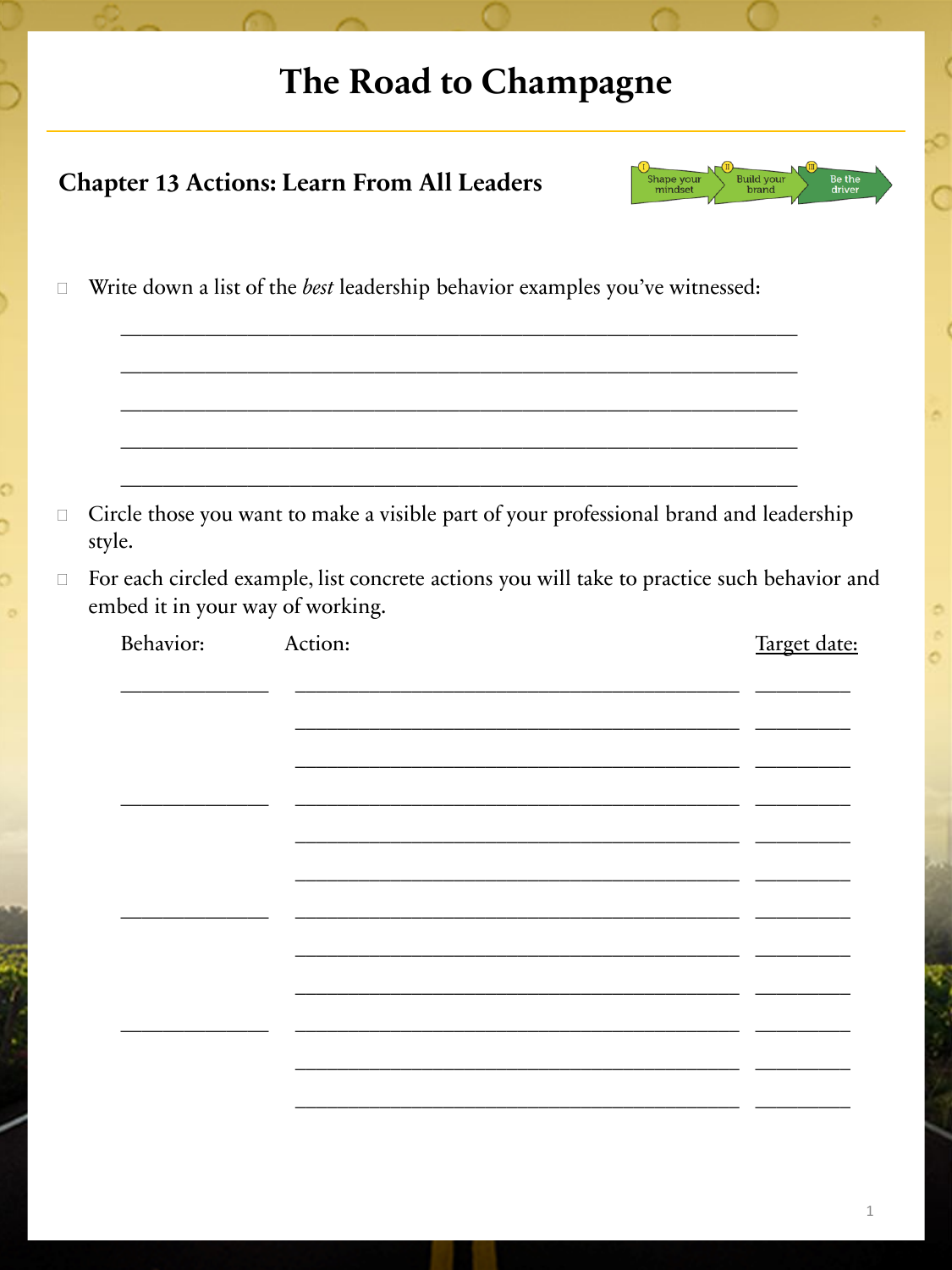## The Road to Champagne

| <b>Build your</b><br>Be the<br><b>Chapter 13 Actions: Learn From All Leaders</b><br>Shape your<br>mindset<br>brand<br>driver |                                                                                                  |                                                                                                                                 |         |              |  |  |
|------------------------------------------------------------------------------------------------------------------------------|--------------------------------------------------------------------------------------------------|---------------------------------------------------------------------------------------------------------------------------------|---------|--------------|--|--|
| П                                                                                                                            | Write down a list of the best leadership behavior examples you've witnessed:                     |                                                                                                                                 |         |              |  |  |
|                                                                                                                              |                                                                                                  |                                                                                                                                 |         |              |  |  |
| $\Box$                                                                                                                       | Circle those you want to make a visible part of your professional brand and leadership<br>style. |                                                                                                                                 |         |              |  |  |
| $\Box$                                                                                                                       |                                                                                                  | For each circled example, list concrete actions you will take to practice such behavior and<br>embed it in your way of working. |         |              |  |  |
|                                                                                                                              | Behavior:                                                                                        |                                                                                                                                 | Action: | Target date: |  |  |
|                                                                                                                              |                                                                                                  |                                                                                                                                 |         |              |  |  |
|                                                                                                                              |                                                                                                  |                                                                                                                                 |         |              |  |  |
|                                                                                                                              |                                                                                                  |                                                                                                                                 |         |              |  |  |
|                                                                                                                              |                                                                                                  |                                                                                                                                 |         |              |  |  |
|                                                                                                                              |                                                                                                  |                                                                                                                                 |         |              |  |  |
|                                                                                                                              |                                                                                                  |                                                                                                                                 |         |              |  |  |
|                                                                                                                              |                                                                                                  |                                                                                                                                 |         |              |  |  |